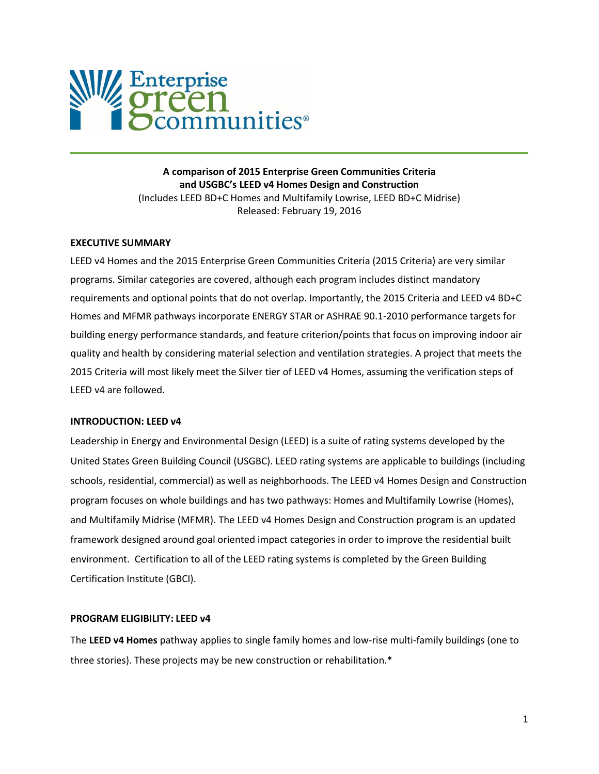

**A comparison of 2015 Enterprise Green Communities Criteria and USGBC's LEED v4 Homes Design and Construction**  (Includes LEED BD+C Homes and Multifamily Lowrise, LEED BD+C Midrise) Released: February 19, 2016

#### **EXECUTIVE SUMMARY**

LEED v4 Homes and the 2015 Enterprise Green Communities Criteria (2015 Criteria) are very similar programs. Similar categories are covered, although each program includes distinct mandatory requirements and optional points that do not overlap. Importantly, the 2015 Criteria and LEED v4 BD+C Homes and MFMR pathways incorporate ENERGY STAR or ASHRAE 90.1-2010 performance targets for building energy performance standards, and feature criterion/points that focus on improving indoor air quality and health by considering material selection and ventilation strategies. A project that meets the 2015 Criteria will most likely meet the Silver tier of LEED v4 Homes, assuming the verification steps of LEED v4 are followed.

#### **INTRODUCTION: LEED v4**

Leadership in Energy and Environmental Design (LEED) is a suite of rating systems developed by the United States Green Building Council (USGBC). LEED rating systems are applicable to buildings (including schools, residential, commercial) as well as neighborhoods. The LEED v4 Homes Design and Construction program focuses on whole buildings and has two pathways: Homes and Multifamily Lowrise (Homes), and Multifamily Midrise (MFMR). The LEED v4 Homes Design and Construction program is an updated framework designed around goal oriented impact categories in order to improve the residential built environment. Certification to all of the LEED rating systems is completed by the Green Building Certification Institute (GBCI).

### **PROGRAM ELIGIBILITY: LEED v4**

The **LEED v4 Homes** pathway applies to single family homes and low-rise multi-family buildings (one to three stories). These projects may be new construction or rehabilitation.\*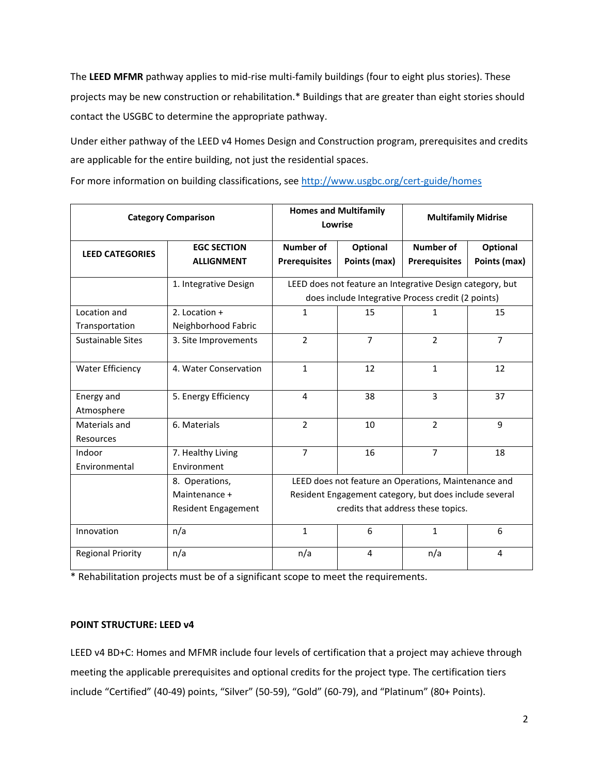The **LEED MFMR** pathway applies to mid-rise multi-family buildings (four to eight plus stories). These projects may be new construction or rehabilitation.\* Buildings that are greater than eight stories should contact the USGBC to determine the appropriate pathway.

Under either pathway of the LEED v4 Homes Design and Construction program, prerequisites and credits are applicable for the entire building, not just the residential spaces.

For more information on building classifications, see<http://www.usgbc.org/cert-guide/homes>

| <b>Category Comparison</b>     |                                                        | <b>Homes and Multifamily</b><br>Lowrise                                                                                                              |                          | <b>Multifamily Midrise</b>               |                          |
|--------------------------------|--------------------------------------------------------|------------------------------------------------------------------------------------------------------------------------------------------------------|--------------------------|------------------------------------------|--------------------------|
| <b>LEED CATEGORIES</b>         | <b>EGC SECTION</b><br><b>ALLIGNMENT</b>                | <b>Number of</b><br><b>Prerequisites</b>                                                                                                             | Optional<br>Points (max) | <b>Number of</b><br><b>Prerequisites</b> | Optional<br>Points (max) |
|                                | 1. Integrative Design                                  | LEED does not feature an Integrative Design category, but<br>does include Integrative Process credit (2 points)                                      |                          |                                          |                          |
| Location and<br>Transportation | 2. Location $+$<br>Neighborhood Fabric                 | 1                                                                                                                                                    | 15                       | $\mathbf{1}$                             | 15                       |
| <b>Sustainable Sites</b>       | 3. Site Improvements                                   | $\overline{2}$                                                                                                                                       | $\overline{7}$           | $\overline{2}$                           | $\overline{7}$           |
| <b>Water Efficiency</b>        | 4. Water Conservation                                  | $\mathbf{1}$                                                                                                                                         | 12                       | $\mathbf{1}$                             | 12                       |
| Energy and<br>Atmosphere       | 5. Energy Efficiency                                   | 4                                                                                                                                                    | 38                       | 3                                        | 37                       |
| Materials and<br>Resources     | 6. Materials                                           | $\overline{2}$                                                                                                                                       | 10                       | $\overline{2}$                           | 9                        |
| Indoor<br>Environmental        | 7. Healthy Living<br>Environment                       | $\overline{7}$                                                                                                                                       | 16                       | $\overline{7}$                           | 18                       |
|                                | 8. Operations,<br>Maintenance +<br>Resident Engagement | LEED does not feature an Operations, Maintenance and<br>Resident Engagement category, but does include several<br>credits that address these topics. |                          |                                          |                          |
| Innovation                     | n/a                                                    | $\mathbf{1}$                                                                                                                                         | 6                        | $\mathbf{1}$                             | 6                        |
| <b>Regional Priority</b>       | n/a                                                    | n/a                                                                                                                                                  | 4                        | n/a                                      | 4                        |

\* Rehabilitation projects must be of a significant scope to meet the requirements.

# **POINT STRUCTURE: LEED v4**

LEED v4 BD+C: Homes and MFMR include four levels of certification that a project may achieve through meeting the applicable prerequisites and optional credits for the project type. The certification tiers include "Certified" (40-49) points, "Silver" (50-59), "Gold" (60-79), and "Platinum" (80+ Points).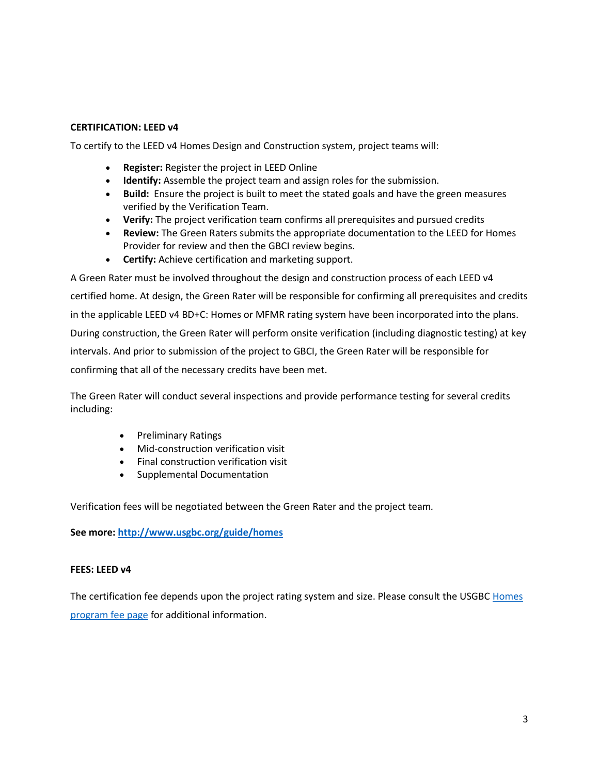# **CERTIFICATION: LEED v4**

To certify to the LEED v4 Homes Design and Construction system, project teams will:

- **Register:** Register the project in LEED Online
- **Identify:** Assemble the project team and assign roles for the submission.
- **Build:** Ensure the project is built to meet the stated goals and have the green measures verified by the Verification Team.
- **Verify:** The project verification team confirms all prerequisites and pursued credits
- **Review:** The Green Raters submits the appropriate documentation to the LEED for Homes Provider for review and then the GBCI review begins.
- **Certify:** Achieve certification and marketing support.

A Green Rater must be involved throughout the design and construction process of each LEED v4 certified home. At design, the Green Rater will be responsible for confirming all prerequisites and credits in the applicable LEED v4 BD+C: Homes or MFMR rating system have been incorporated into the plans. During construction, the Green Rater will perform onsite verification (including diagnostic testing) at key intervals. And prior to submission of the project to GBCI, the Green Rater will be responsible for confirming that all of the necessary credits have been met.

The Green Rater will conduct several inspections and provide performance testing for several credits including:

- Preliminary Ratings
- Mid-construction verification visit
- Final construction verification visit
- Supplemental Documentation

Verification fees will be negotiated between the Green Rater and the project team*.*

**See more[: http://www.usgbc.org/guide/homes](http://www.usgbc.org/guide/homes)**

#### **FEES: LEED v4**

The certification fee depends upon the project rating system and size. Please consult the USGBC [Homes](http://www.usgbc.org/cert-guide/fees#homes)  [program fee page](http://www.usgbc.org/cert-guide/fees#homes) for additional information.